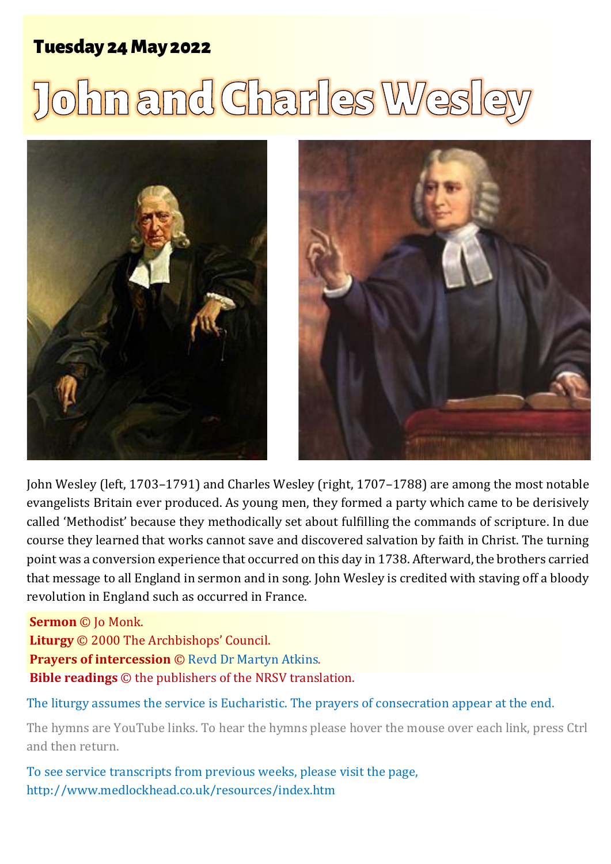# Tuesday 24 May 2022

# <u>John and Charles Wes</u>





John Wesley (left, 1703–1791) and Charles Wesley (right, 1707–1788) are among the most notable evangelists Britain ever produced. As young men, they formed a party which came to be derisively called 'Methodist' because they methodically set about fulfilling the commands of scripture. In due course they learned that works cannot save and discovered salvation by faith in Christ. The turning point was a conversion experience that occurred on this day in 1738. Afterward, the brothers carried that message to all England in sermon and in song. John Wesley is credited with staving off a bloody revolution in England such as occurred in France.

**Sermon** © Jo Monk. **Liturgy** © 2000 The Archbishops' Council. **Prayers of intercession** © [Revd Dr Martyn Atkins](https://www.bishopstreetchurch.org.uk/doc/D470322.pdf). **Bible readings** © the publishers of the NRSV translation.

The liturgy assumes the service is Eucharistic. The prayers of consecration appear at the end.

The hymns are YouTube links. To hear the hymns please hover the mouse over each link, press Ctrl and then return.

To see service transcripts from previous weeks, please visit the page, <http://www.medlockhead.co.uk/resources/index.htm>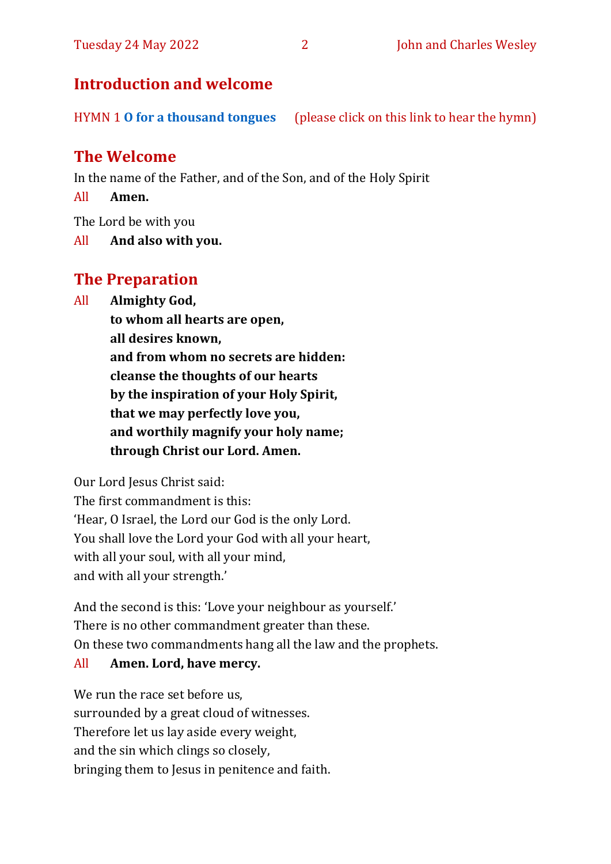# **Introduction and welcome**

HYMN 1 **[O for a thousand tongues](https://youtu.be/2e475ww32Jg)** (please click on this link to hear the hymn)

# **The Welcome**

In the name of the Father, and of the Son, and of the Holy Spirit

All **Amen.**

The Lord be with you

All **And also with you.**

# **The Preparation**

All **Almighty God,**

**to whom all hearts are open, all desires known, and from whom no secrets are hidden: cleanse the thoughts of our hearts by the inspiration of your Holy Spirit, that we may perfectly love you, and worthily magnify your holy name; through Christ our Lord. Amen.**

Our Lord Jesus Christ said:

The first commandment is this: 'Hear, O Israel, the Lord our God is the only Lord. You shall love the Lord your God with all your heart, with all your soul, with all your mind, and with all your strength.'

And the second is this: 'Love your neighbour as yourself.' There is no other commandment greater than these. On these two commandments hang all the law and the prophets.

#### All **Amen. Lord, have mercy.**

We run the race set before us, surrounded by a great cloud of witnesses. Therefore let us lay aside every weight, and the sin which clings so closely, bringing them to Jesus in penitence and faith.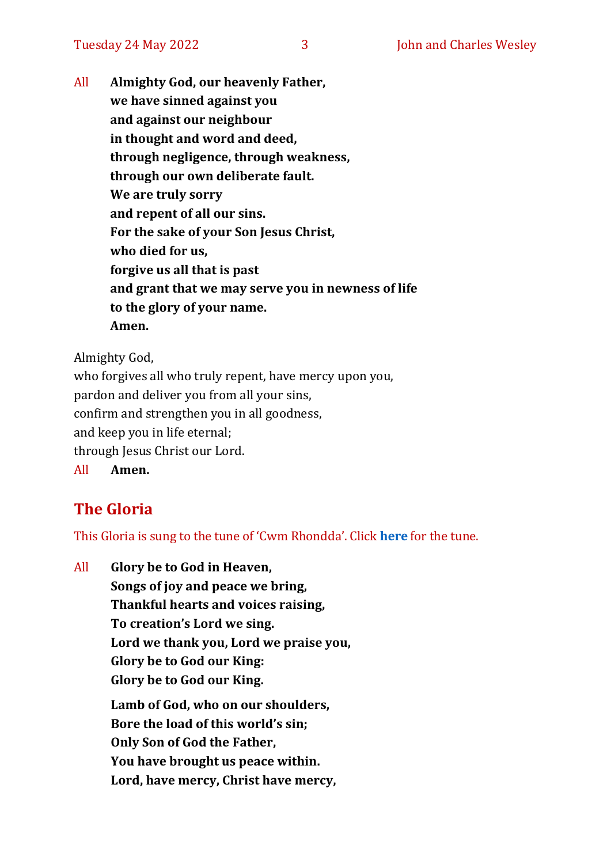All **Almighty God, our heavenly Father, we have sinned against you and against our neighbour in thought and word and deed, through negligence, through weakness, through our own deliberate fault. We are truly sorry and repent of all our sins. For the sake of your Son Jesus Christ, who died for us, forgive us all that is past and grant that we may serve you in newness of life to the glory of your name. Amen.**

Almighty God,

who forgives all who truly repent, have mercy upon you, pardon and deliver you from all your sins, confirm and strengthen you in all goodness, and keep you in life eternal; through Jesus Christ our Lord. All **Amen.**

# **The Gloria**

This Gloria is sung to the tune of 'Cwm Rhondda'. Click **[here](https://www.youtube.com/watch?v=l71MLQ22dIk)** for the tune.

All **Glory be to God in Heaven, Songs of joy and peace we bring, Thankful hearts and voices raising, To creation's Lord we sing. Lord we thank you, Lord we praise you, Glory be to God our King: Glory be to God our King. Lamb of God, who on our shoulders, Bore the load of this world's sin; Only Son of God the Father, You have brought us peace within. Lord, have mercy, Christ have mercy,**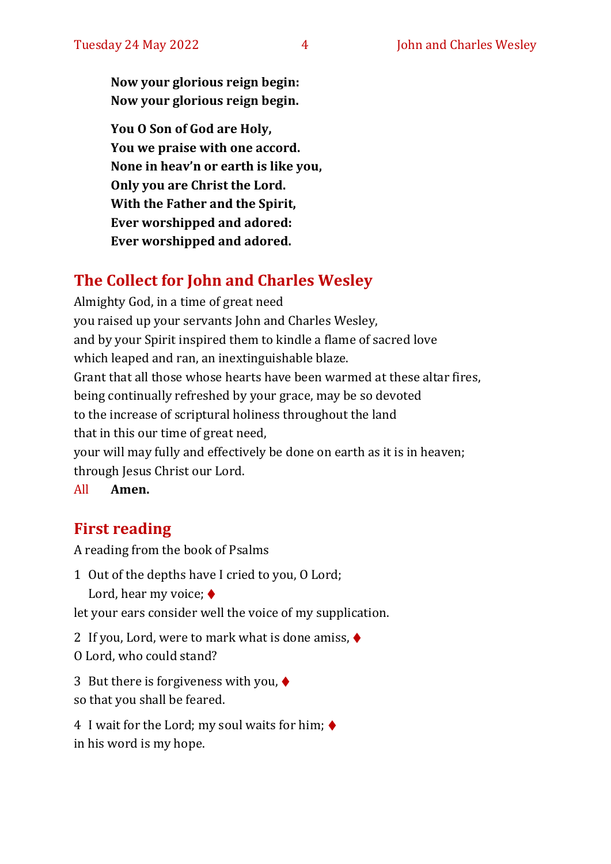**Now your glorious reign begin: Now your glorious reign begin.**

**You O Son of God are Holy, You we praise with one accord. None in heav'n or earth is like you, Only you are Christ the Lord. With the Father and the Spirit, Ever worshipped and adored: Ever worshipped and adored.**

# **The Collect for John and Charles Wesley**

Almighty God, in a time of great need you raised up your servants John and Charles Wesley, and by your Spirit inspired them to kindle a flame of sacred love which leaped and ran, an inextinguishable blaze. Grant that all those whose hearts have been warmed at these altar fires, being continually refreshed by your grace, may be so devoted to the increase of scriptural holiness throughout the land that in this our time of great need, your will may fully and effectively be done on earth as it is in heaven; through Jesus Christ our Lord.

All **Amen.**

# **First reading**

A reading from the book of Psalms

1 Out of the depths have I cried to you, O Lord; Lord, hear my voice; ♦

let your ears consider well the voice of my supplication.

2 If you, Lord, were to mark what is done amiss, ♦

O Lord, who could stand?

3 But there is forgiveness with you, ♦ so that you shall be feared.

4 I wait for the Lord; my soul waits for him;  $\triangleleft$ in his word is my hope.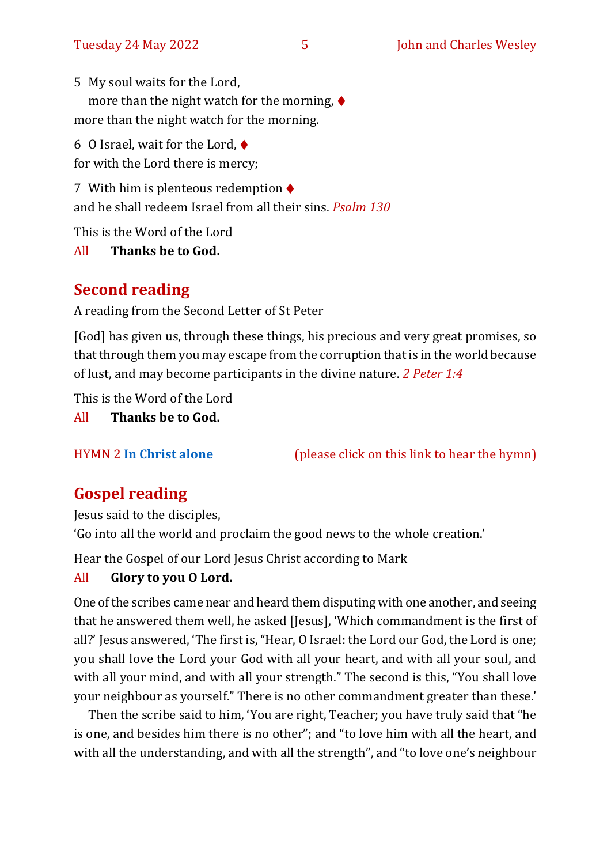5 My soul waits for the Lord, more than the night watch for the morning,  $\blacklozenge$ more than the night watch for the morning.

6 O Israel, wait for the Lord,  $\blacklozenge$ for with the Lord there is mercy;

7 With him is plenteous redemption  $\blacklozenge$ and he shall redeem Israel from all their sins. *Psalm 130*

This is the Word of the Lord

All **Thanks be to God.**

# **Second reading**

A reading from the Second Letter of St Peter

[God] has given us, through these things, his precious and very great promises, so that through them you may escape from the corruption that is in the world because of lust, and may become participants in the divine nature. *2 Peter 1:4*

This is the Word of the Lord

All **Thanks be to God.**

HYMN 2 **[In Christ alone](https://youtu.be/rn9-UNer6MQ)** (please click on this link to hear the hymn)

# **Gospel reading**

Jesus said to the disciples, 'Go into all the world and proclaim the good news to the whole creation.'

Hear the Gospel of our Lord Jesus Christ according to Mark

#### All **Glory to you O Lord.**

One of the scribes came near and heard them disputing with one another, and seeing that he answered them well, he asked [Jesus], 'Which commandment is the first of all?' Jesus answered, 'The first is, "Hear, O Israel: the Lord our God, the Lord is one; you shall love the Lord your God with all your heart, and with all your soul, and with all your mind, and with all your strength." The second is this, "You shall love your neighbour as yourself." There is no other commandment greater than these.'

Then the scribe said to him, 'You are right, Teacher; you have truly said that "he is one, and besides him there is no other"; and "to love him with all the heart, and with all the understanding, and with all the strength", and "to love one's neighbour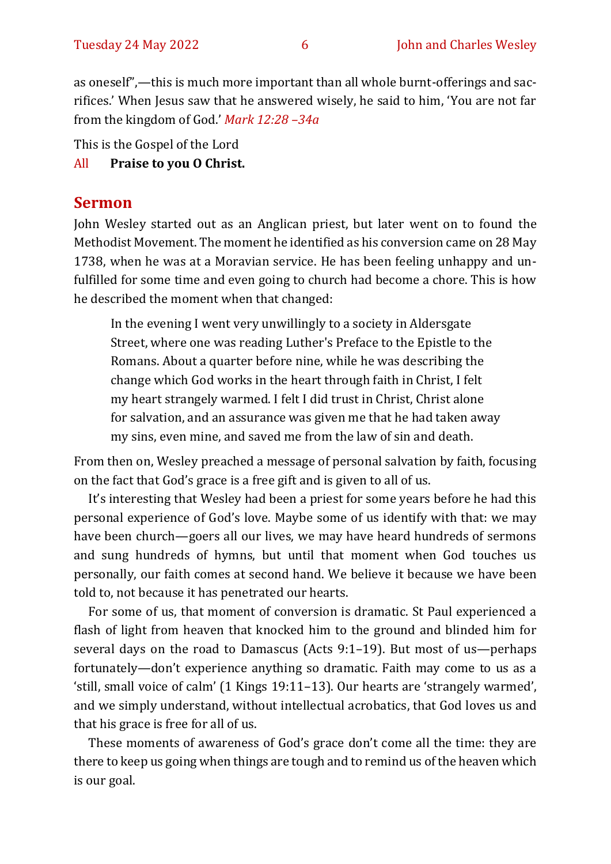as oneself",—this is much more important than all whole burnt-offerings and sacrifices.' When Jesus saw that he answered wisely, he said to him, 'You are not far from the kingdom of God.' *Mark 12:28 –34a*

This is the Gospel of the Lord

#### All **Praise to you O Christ.**

#### **Sermon**

John Wesley started out as an Anglican priest, but later went on to found the Methodist Movement. The moment he identified as his conversion came on 28 May 1738, when he was at a Moravian service. He has been feeling unhappy and unfulfilled for some time and even going to church had become a chore. This is how he described the moment when that changed:

In the evening I went very unwillingly to a society in Aldersgate Street, where one was reading Luther's Preface to the Epistle to the Romans. About a quarter before nine, while he was describing the change which God works in the heart through faith in Christ, I felt my heart strangely warmed. I felt I did trust in Christ, Christ alone for salvation, and an assurance was given me that he had taken away my sins, even mine, and saved me from the law of sin and death.

From then on, Wesley preached a message of personal salvation by faith, focusing on the fact that God's grace is a free gift and is given to all of us.

It's interesting that Wesley had been a priest for some years before he had this personal experience of God's love. Maybe some of us identify with that: we may have been church—goers all our lives, we may have heard hundreds of sermons and sung hundreds of hymns, but until that moment when God touches us personally, our faith comes at second hand. We believe it because we have been told to, not because it has penetrated our hearts.

For some of us, that moment of conversion is dramatic. St Paul experienced a flash of light from heaven that knocked him to the ground and blinded him for several days on the road to Damascus (Acts 9:1–19). But most of us—perhaps fortunately—don't experience anything so dramatic. Faith may come to us as a 'still, small voice of calm' (1 Kings 19:11–13). Our hearts are 'strangely warmed', and we simply understand, without intellectual acrobatics, that God loves us and that his grace is free for all of us.

These moments of awareness of God's grace don't come all the time: they are there to keep us going when things are tough and to remind us of the heaven which is our goal.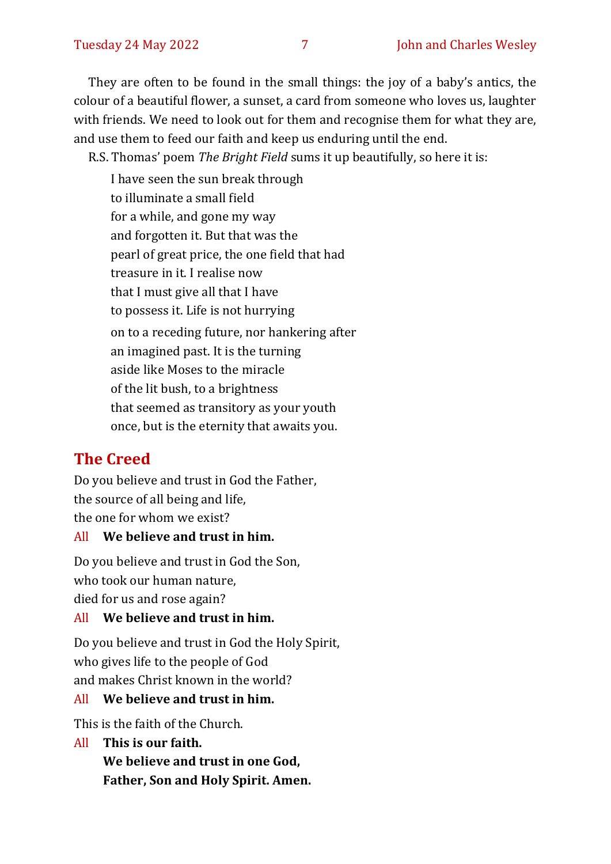They are often to be found in the small things: the joy of a baby's antics, the colour of a beautiful flower, a sunset, a card from someone who loves us, laughter with friends. We need to look out for them and recognise them for what they are, and use them to feed our faith and keep us enduring until the end.

R.S. Thomas' poem *The Bright Field* sums it up beautifully, so here it is:

I have seen the sun break through to illuminate a small field for a while, and gone my way and forgotten it. But that was the pearl of great price, the one field that had treasure in it. I realise now that I must give all that I have to possess it. Life is not hurrying on to a receding future, nor hankering after an imagined past. It is the turning aside like Moses to the miracle of the lit bush, to a brightness that seemed as transitory as your youth once, but is the eternity that awaits you.

# **The Creed**

Do you believe and trust in God the Father, the source of all being and life, the one for whom we exist?

#### All **We believe and trust in him.**

Do you believe and trust in God the Son, who took our human nature, died for us and rose again?

#### All **We believe and trust in him.**

Do you believe and trust in God the Holy Spirit, who gives life to the people of God and makes Christ known in the world?

# All **We believe and trust in him.**

This is the faith of the Church.

All **This is our faith. We believe and trust in one God, Father, Son and Holy Spirit. Amen.**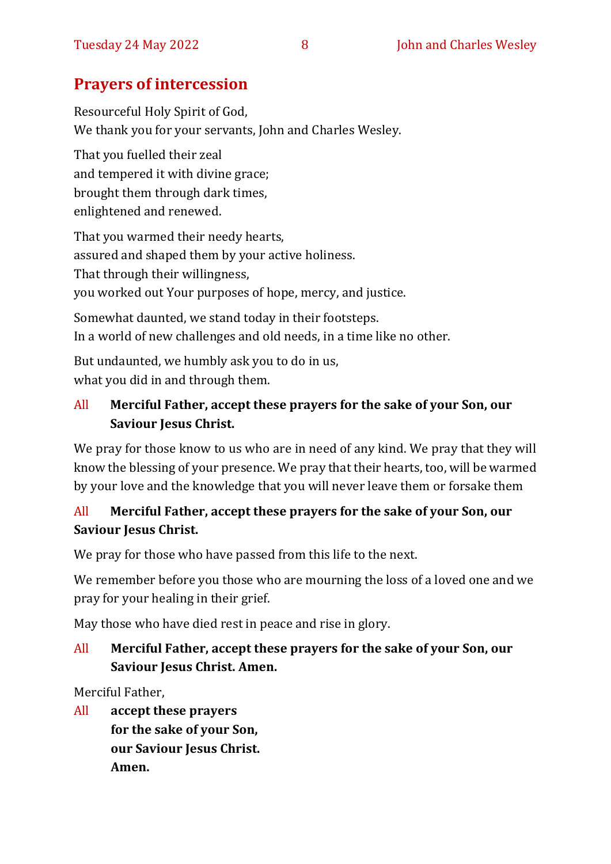# **Prayers of intercession**

Resourceful Holy Spirit of God, We thank you for your servants, John and Charles Wesley.

That you fuelled their zeal and tempered it with divine grace; brought them through dark times, enlightened and renewed.

That you warmed their needy hearts, assured and shaped them by your active holiness. That through their willingness, you worked out Your purposes of hope, mercy, and justice.

Somewhat daunted, we stand today in their footsteps. In a world of new challenges and old needs, in a time like no other.

But undaunted, we humbly ask you to do in us, what you did in and through them.

## All **Merciful Father, accept these prayers for the sake of your Son, our Saviour Jesus Christ.**

We pray for those know to us who are in need of any kind. We pray that they will know the blessing of your presence. We pray that their hearts, too, will be warmed by your love and the knowledge that you will never leave them or forsake them

# All **Merciful Father, accept these prayers for the sake of your Son, our Saviour Jesus Christ.**

We pray for those who have passed from this life to the next.

We remember before you those who are mourning the loss of a loved one and we pray for your healing in their grief.

May those who have died rest in peace and rise in glory.

### All **Merciful Father, accept these prayers for the sake of your Son, our Saviour Jesus Christ. Amen.**

Merciful Father,

All **accept these prayers for the sake of your Son, our Saviour Jesus Christ. Amen.**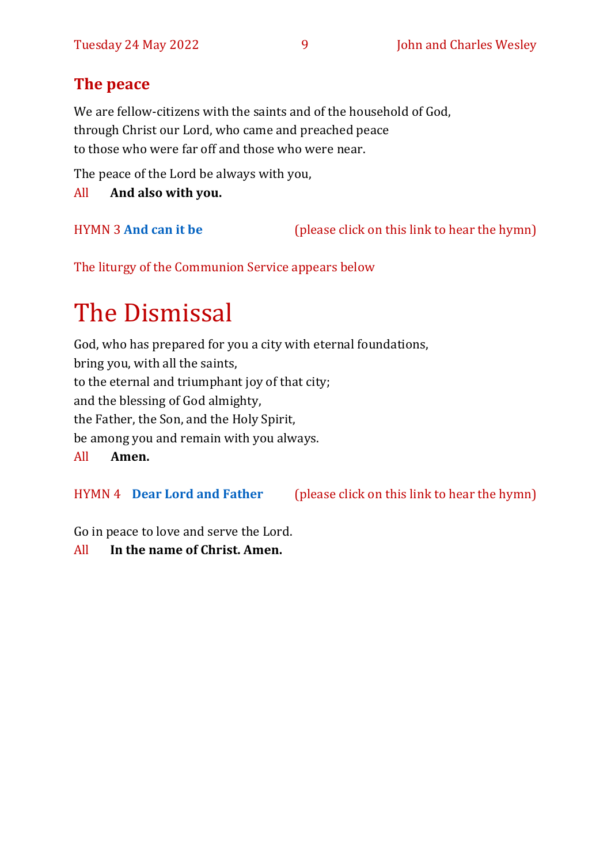# **The peace**

We are fellow-citizens with the saints and of the household of God, through Christ our Lord, who came and preached peace to those who were far off and those who were near.

The peace of the Lord be always with you,

All **And also with you.**

HYMN 3 **[And can it be](https://youtu.be/dC8HSEKtuio)** (please click on this link to hear the hymn)

The liturgy of the Communion Service appears below

# The Dismissal

God, who has prepared for you a city with eternal foundations, bring you, with all the saints, to the eternal and triumphant joy of that city; and the blessing of God almighty, the Father, the Son, and the Holy Spirit, be among you and remain with you always. All **Amen.**

HYMN 4 **[Dear Lord and Father](https://youtu.be/bsCLNuU6Td0)** (please click on this link to hear the hymn)

Go in peace to love and serve the Lord.

All **In the name of Christ. Amen.**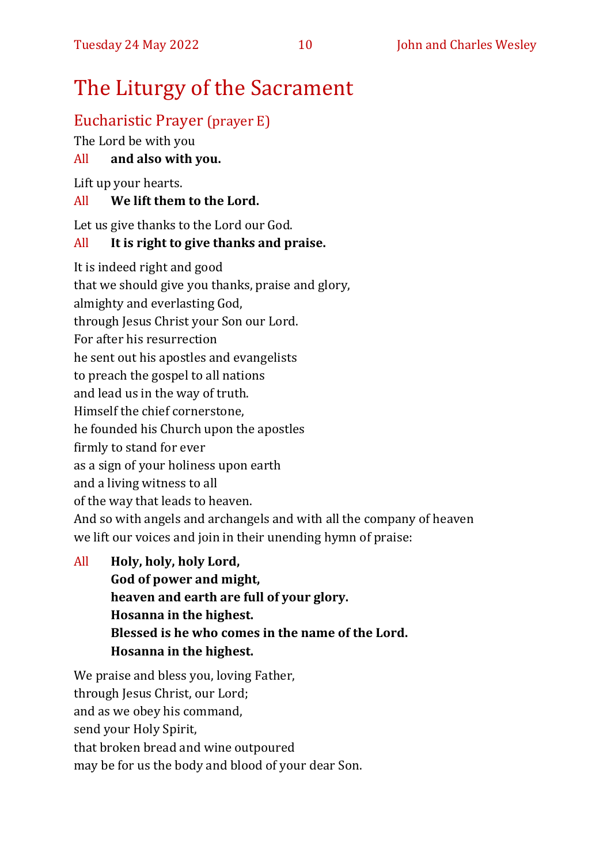# The Liturgy of the Sacrament

# Eucharistic Prayer (prayer E)

The Lord be with you

### All **and also with you.**

Lift up your hearts.

#### All **We lift them to the Lord.**

Let us give thanks to the Lord our God.

#### All **It is right to give thanks and praise.**

It is indeed right and good

that we should give you thanks, praise and glory,

almighty and everlasting God,

through Jesus Christ your Son our Lord.

For after his resurrection

he sent out his apostles and evangelists

to preach the gospel to all nations

and lead us in the way of truth.

Himself the chief cornerstone,

he founded his Church upon the apostles

firmly to stand for ever

as a sign of your holiness upon earth

and a living witness to all

of the way that leads to heaven.

And so with angels and archangels and with all the company of heaven we lift our voices and join in their unending hymn of praise:

All **Holy, holy, holy Lord, God of power and might, heaven and earth are full of your glory. Hosanna in the highest. Blessed is he who comes in the name of the Lord. Hosanna in the highest.**

We praise and bless you, loving Father, through Jesus Christ, our Lord; and as we obey his command, send your Holy Spirit, that broken bread and wine outpoured may be for us the body and blood of your dear Son.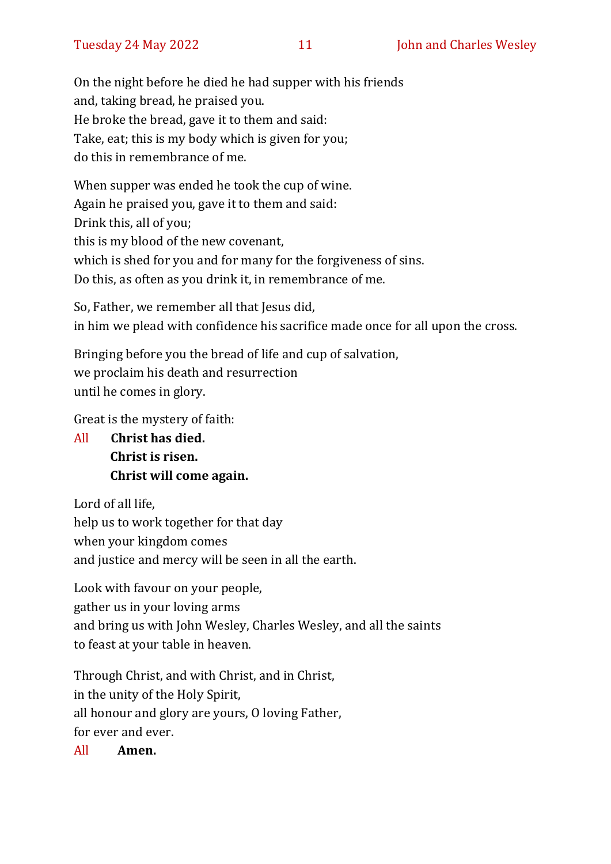On the night before he died he had supper with his friends and, taking bread, he praised you. He broke the bread, gave it to them and said: Take, eat; this is my body which is given for you; do this in remembrance of me.

When supper was ended he took the cup of wine. Again he praised you, gave it to them and said: Drink this, all of you; this is my blood of the new covenant, which is shed for you and for many for the forgiveness of sins. Do this, as often as you drink it, in remembrance of me.

So, Father, we remember all that Jesus did, in him we plead with confidence his sacrifice made once for all upon the cross.

Bringing before you the bread of life and cup of salvation, we proclaim his death and resurrection until he comes in glory.

Great is the mystery of faith:

All **Christ has died. Christ is risen. Christ will come again.**

Lord of all life, help us to work together for that day when your kingdom comes and justice and mercy will be seen in all the earth.

Look with favour on your people, gather us in your loving arms and bring us with John Wesley, Charles Wesley, and all the saints to feast at your table in heaven.

Through Christ, and with Christ, and in Christ, in the unity of the Holy Spirit, all honour and glory are yours, O loving Father, for ever and ever.

All **Amen.**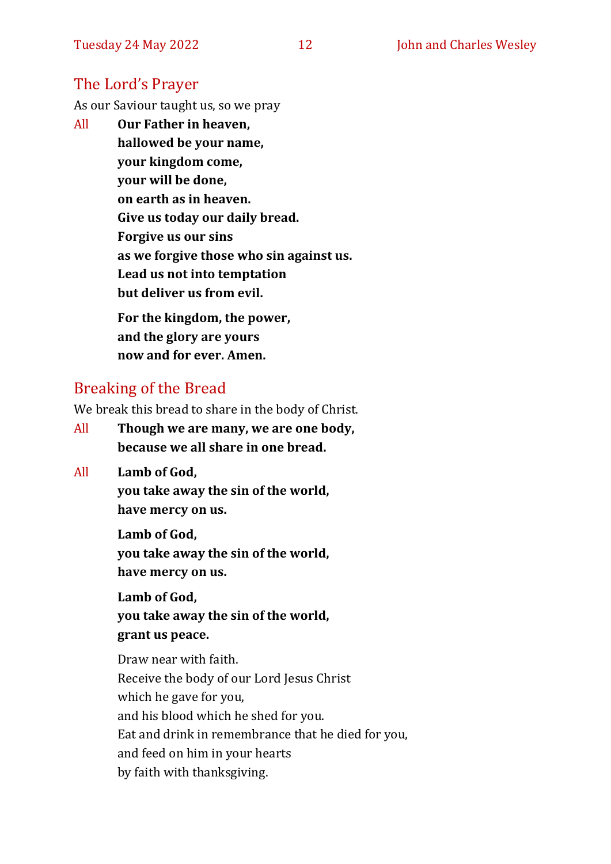### The Lord's Prayer

As our Saviour taught us, so we pray

All **Our Father in heaven, hallowed be your name, your kingdom come, your will be done, on earth as in heaven. Give us today our daily bread. Forgive us our sins as we forgive those who sin against us. Lead us not into temptation but deliver us from evil. For the kingdom, the power,** 

**and the glory are yours now and for ever. Amen.**

#### Breaking of the Bread

We break this bread to share in the body of Christ.

- All **Though we are many, we are one body, because we all share in one bread.**
- All **Lamb of God,**

**you take away the sin of the world, have mercy on us.**

**Lamb of God, you take away the sin of the world, have mercy on us.**

**Lamb of God, you take away the sin of the world, grant us peace.**

Draw near with faith. Receive the body of our Lord Jesus Christ which he gave for you, and his blood which he shed for you. Eat and drink in remembrance that he died for you, and feed on him in your hearts by faith with thanksgiving.